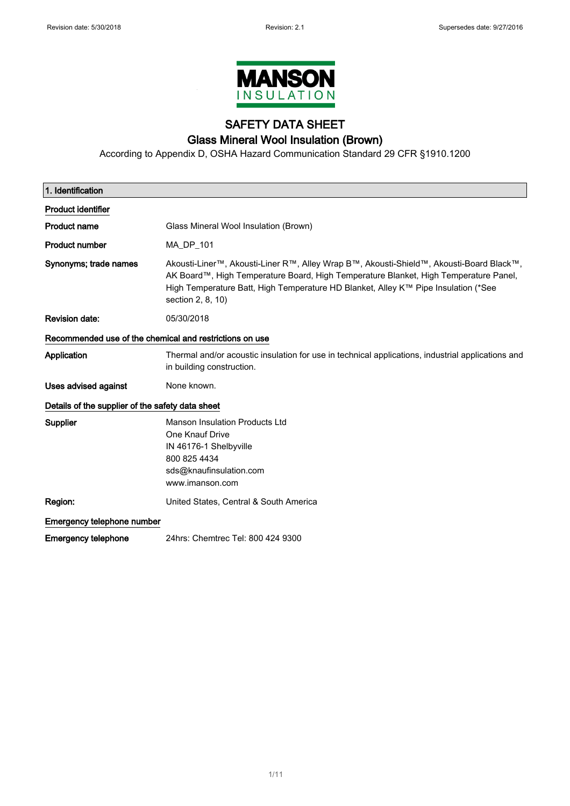

# SAFETY DATA SHEET Glass Mineral Wool Insulation (Brown)

According to Appendix D, OSHA Hazard Communication Standard 29 CFR §1910.1200

| 1. Identification                                       |                                                                                                                                                                                                                                                                                            |  |
|---------------------------------------------------------|--------------------------------------------------------------------------------------------------------------------------------------------------------------------------------------------------------------------------------------------------------------------------------------------|--|
| <b>Product identifier</b>                               |                                                                                                                                                                                                                                                                                            |  |
| <b>Product name</b>                                     | Glass Mineral Wool Insulation (Brown)                                                                                                                                                                                                                                                      |  |
| <b>Product number</b>                                   | MA_DP_101                                                                                                                                                                                                                                                                                  |  |
| Synonyms; trade names                                   | Akousti-Liner™, Akousti-Liner R™, Alley Wrap B™, Akousti-Shield™, Akousti-Board Black™,<br>AK Board™, High Temperature Board, High Temperature Blanket, High Temperature Panel,<br>High Temperature Batt, High Temperature HD Blanket, Alley K™ Pipe Insulation (*See<br>section 2, 8, 10) |  |
| <b>Revision date:</b>                                   | 05/30/2018                                                                                                                                                                                                                                                                                 |  |
| Recommended use of the chemical and restrictions on use |                                                                                                                                                                                                                                                                                            |  |
| Application                                             | Thermal and/or acoustic insulation for use in technical applications, industrial applications and<br>in building construction.                                                                                                                                                             |  |
| <b>Uses advised against</b>                             | None known.                                                                                                                                                                                                                                                                                |  |
| Details of the supplier of the safety data sheet        |                                                                                                                                                                                                                                                                                            |  |
| Supplier                                                | <b>Manson Insulation Products Ltd</b><br>One Knauf Drive<br>IN 46176-1 Shelbyville<br>800 825 4434<br>sds@knaufinsulation.com<br>www.imanson.com                                                                                                                                           |  |
| Region:                                                 | United States, Central & South America                                                                                                                                                                                                                                                     |  |
| Emergency telephone number                              |                                                                                                                                                                                                                                                                                            |  |
| Emergency telephone                                     | 24hrs: Chemtrec Tel: 800 424 9300                                                                                                                                                                                                                                                          |  |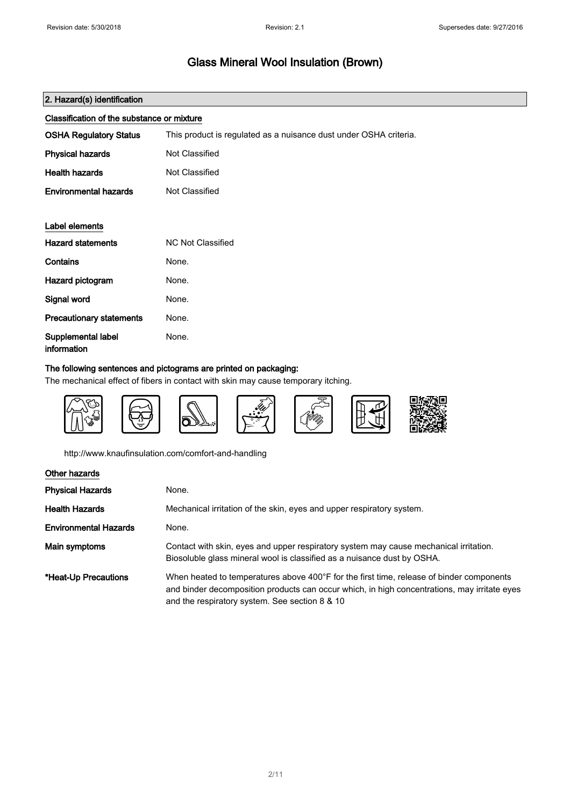| 2. Hazard(s) identification                |                                                                   |
|--------------------------------------------|-------------------------------------------------------------------|
| Classification of the substance or mixture |                                                                   |
| <b>OSHA Regulatory Status</b>              | This product is regulated as a nuisance dust under OSHA criteria. |
| <b>Physical hazards</b>                    | Not Classified                                                    |
| <b>Health hazards</b>                      | Not Classified                                                    |
| <b>Environmental hazards</b>               | Not Classified                                                    |
|                                            |                                                                   |
| Label elements                             |                                                                   |
| <b>Hazard statements</b>                   | <b>NC Not Classified</b>                                          |
| Contains                                   | None.                                                             |
| Hazard pictogram                           | None.                                                             |
| Signal word                                | None.                                                             |
| <b>Precautionary statements</b>            | None.                                                             |
| Supplemental label<br>information          | None.                                                             |

### The following sentences and pictograms are printed on packaging:

The mechanical effect of fibers in contact with skin may cause temporary itching.



http://www.knaufinsulation.com/comfort-and-handling

| Other hazards                |                                                                                                                                                                                                                                            |
|------------------------------|--------------------------------------------------------------------------------------------------------------------------------------------------------------------------------------------------------------------------------------------|
| <b>Physical Hazards</b>      | None.                                                                                                                                                                                                                                      |
| Health Hazards               | Mechanical irritation of the skin, eyes and upper respiratory system.                                                                                                                                                                      |
| <b>Environmental Hazards</b> | None.                                                                                                                                                                                                                                      |
| Main symptoms                | Contact with skin, eyes and upper respiratory system may cause mechanical irritation.<br>Biosoluble glass mineral wool is classified as a nuisance dust by OSHA.                                                                           |
| *Heat-Up Precautions         | When heated to temperatures above 400°F for the first time, release of binder components<br>and binder decomposition products can occur which, in high concentrations, may irritate eyes<br>and the respiratory system. See section 8 & 10 |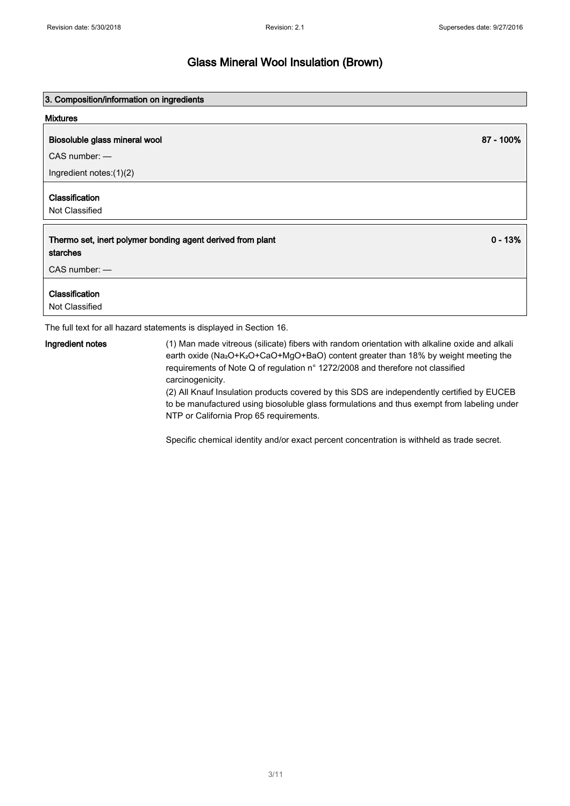0 - 13%

## Glass Mineral Wool Insulation (Brown)

#### 3. Composition/information on ingredients

#### Mixtures

#### Biosoluble glass mineral wool 87 - 100% and the state of the state of the state of the state of the state of the state of the state of the state of the state of the state of the state of the state of the state of the state

CAS number: —

Ingredient notes:(1)(2)

#### Classification

Not Classified

#### Thermo set, inert polymer bonding agent derived from plant starches

CAS number: —

#### Classification

Not Classified

The full text for all hazard statements is displayed in Section 16.

Ingredient notes (1) Man made vitreous (silicate) fibers with random orientation with alkaline oxide and alkali earth oxide (Na2O+K2O+CaO+MgO+BaO) content greater than 18% by weight meeting the requirements of Note Q of regulation n° 1272/2008 and therefore not classified carcinogenicity.

> (2) All Knauf Insulation products covered by this SDS are independently certified by EUCEB to be manufactured using biosoluble glass formulations and thus exempt from labeling under NTP or California Prop 65 requirements.

Specific chemical identity and/or exact percent concentration is withheld as trade secret.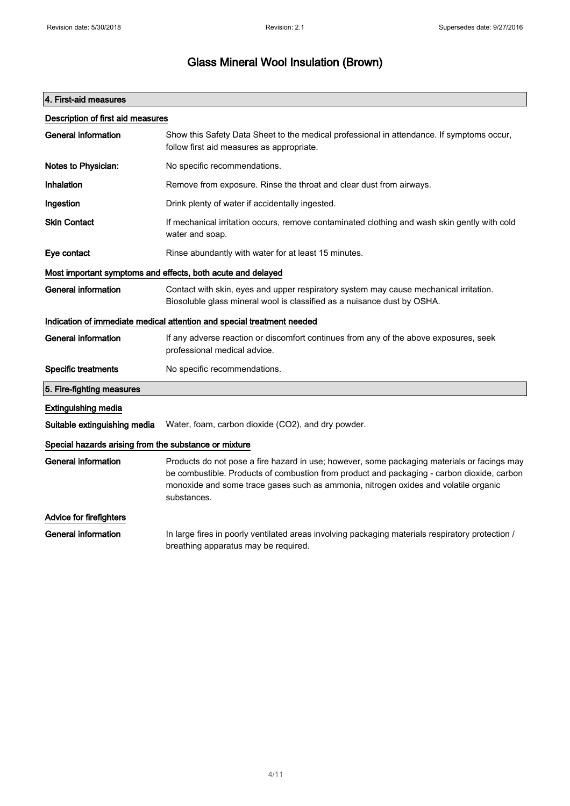# Glass Mineral Wool Insulation (Brown)

| 4. First-aid measures                                       |                                                                                                                                                                                                                                                                                                 |  |
|-------------------------------------------------------------|-------------------------------------------------------------------------------------------------------------------------------------------------------------------------------------------------------------------------------------------------------------------------------------------------|--|
| Description of first aid measures                           |                                                                                                                                                                                                                                                                                                 |  |
| <b>General information</b>                                  | Show this Safety Data Sheet to the medical professional in attendance. If symptoms occur,<br>follow first aid measures as appropriate.                                                                                                                                                          |  |
| Notes to Physician:                                         | No specific recommendations.                                                                                                                                                                                                                                                                    |  |
| Inhalation                                                  | Remove from exposure. Rinse the throat and clear dust from airways.                                                                                                                                                                                                                             |  |
| Ingestion                                                   | Drink plenty of water if accidentally ingested.                                                                                                                                                                                                                                                 |  |
| <b>Skin Contact</b>                                         | If mechanical irritation occurs, remove contaminated clothing and wash skin gently with cold<br>water and soap.                                                                                                                                                                                 |  |
| Eye contact                                                 | Rinse abundantly with water for at least 15 minutes.                                                                                                                                                                                                                                            |  |
| Most important symptoms and effects, both acute and delayed |                                                                                                                                                                                                                                                                                                 |  |
| <b>General information</b>                                  | Contact with skin, eyes and upper respiratory system may cause mechanical irritation.<br>Biosoluble glass mineral wool is classified as a nuisance dust by OSHA.                                                                                                                                |  |
|                                                             | Indication of immediate medical attention and special treatment needed                                                                                                                                                                                                                          |  |
| <b>General information</b>                                  | If any adverse reaction or discomfort continues from any of the above exposures, seek<br>professional medical advice.                                                                                                                                                                           |  |
| <b>Specific treatments</b>                                  | No specific recommendations.                                                                                                                                                                                                                                                                    |  |
| 5. Fire-fighting measures                                   |                                                                                                                                                                                                                                                                                                 |  |
| <b>Extinguishing media</b>                                  |                                                                                                                                                                                                                                                                                                 |  |
| Suitable extinguishing media                                | Water, foam, carbon dioxide (CO2), and dry powder.                                                                                                                                                                                                                                              |  |
| Special hazards arising from the substance or mixture       |                                                                                                                                                                                                                                                                                                 |  |
| General information                                         | Products do not pose a fire hazard in use; however, some packaging materials or facings may<br>be combustible. Products of combustion from product and packaging - carbon dioxide, carbon<br>monoxide and some trace gases such as ammonia, nitrogen oxides and volatile organic<br>substances. |  |
| Advice for firefighters                                     |                                                                                                                                                                                                                                                                                                 |  |
| <b>General information</b>                                  | In large fires in poorly ventilated areas involving packaging materials respiratory protection /<br>breathing apparatus may be required.                                                                                                                                                        |  |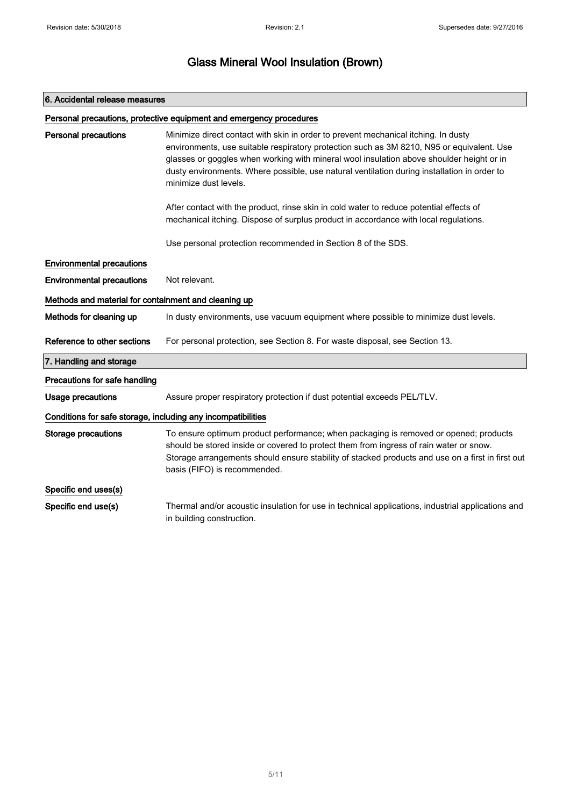# 6. Accidental release measures Personal precautions, protective equipment and emergency procedures Personal precautions Minimize direct contact with skin in order to prevent mechanical itching. In dusty environments, use suitable respiratory protection such as 3M 8210, N95 or equivalent. Use glasses or goggles when working with mineral wool insulation above shoulder height or in dusty environments. Where possible, use natural ventilation during installation in order to minimize dust levels. After contact with the product, rinse skin in cold water to reduce potential effects of mechanical itching. Dispose of surplus product in accordance with local regulations. Use personal protection recommended in Section 8 of the SDS. Environmental precautions **Environmental precautions** Not relevant. Methods and material for containment and cleaning up Methods for cleaning up In dusty environments, use vacuum equipment where possible to minimize dust levels. Reference to other sections For personal protection, see Section 8. For waste disposal, see Section 13. 7. Handling and storage Precautions for safe handling Usage precautions **Assure proper respiratory protection if dust potential exceeds PEL/TLV.** Conditions for safe storage, including any incompatibilities Storage precautions To ensure optimum product performance; when packaging is removed or opened; products should be stored inside or covered to protect them from ingress of rain water or snow. Storage arrangements should ensure stability of stacked products and use on a first in first out basis (FIFO) is recommended. Specific end uses(s) Specific end use(s) Thermal and/or acoustic insulation for use in technical applications, industrial applications and in building construction.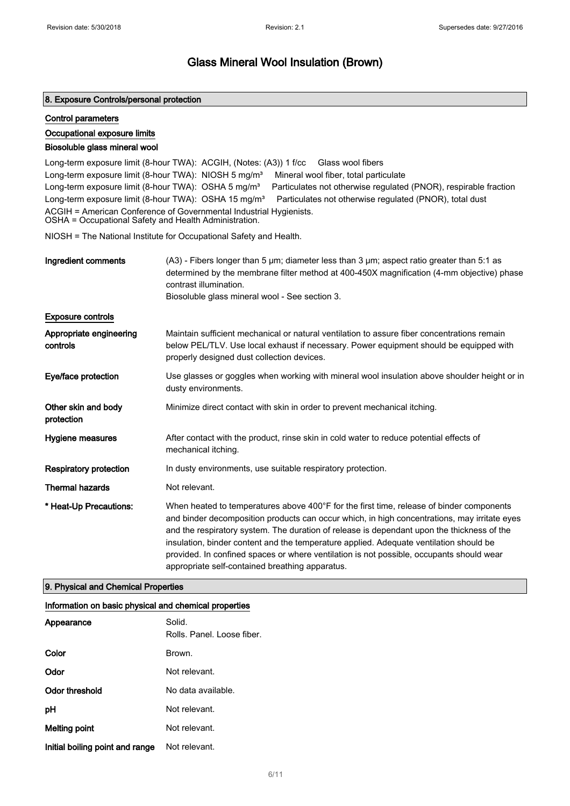#### 8. Exposure Controls/personal protection

#### Control parameters

#### Occupational exposure limits

#### Biosoluble glass mineral wool

Long-term exposure limit (8-hour TWA): ACGIH, (Notes: (A3)) 1 f/cc Glass wool fibers Long-term exposure limit (8-hour TWA): NIOSH 5 mg/m<sup>3</sup> Mineral wool fiber, total particulate Long-term exposure limit (8-hour TWA): OSHA 5 mg/m<sup>3</sup> Particulates not otherwise regulated (PNOR), respirable fraction Long-term exposure limit (8-hour TWA): OSHA 15 mg/m<sup>3</sup> Particulates not otherwise regulated (PNOR), total dust ACGIH = American Conference of Governmental Industrial Hygienists. OSHA = Occupational Safety and Health Administration.

NIOSH = The National Institute for Occupational Safety and Health.

| Ingredient comments                 | $(A3)$ - Fibers longer than 5 $\mu$ m; diameter less than 3 $\mu$ m; aspect ratio greater than 5:1 as<br>determined by the membrane filter method at 400-450X magnification (4-mm objective) phase<br>contrast illumination.<br>Biosoluble glass mineral wool - See section 3.                                                                                                                                                                                                                                                  |
|-------------------------------------|---------------------------------------------------------------------------------------------------------------------------------------------------------------------------------------------------------------------------------------------------------------------------------------------------------------------------------------------------------------------------------------------------------------------------------------------------------------------------------------------------------------------------------|
| <b>Exposure controls</b>            |                                                                                                                                                                                                                                                                                                                                                                                                                                                                                                                                 |
| Appropriate engineering<br>controls | Maintain sufficient mechanical or natural ventilation to assure fiber concentrations remain<br>below PEL/TLV. Use local exhaust if necessary. Power equipment should be equipped with<br>properly designed dust collection devices.                                                                                                                                                                                                                                                                                             |
| Eye/face protection                 | Use glasses or goggles when working with mineral wool insulation above shoulder height or in<br>dusty environments.                                                                                                                                                                                                                                                                                                                                                                                                             |
| Other skin and body<br>protection   | Minimize direct contact with skin in order to prevent mechanical itching.                                                                                                                                                                                                                                                                                                                                                                                                                                                       |
| Hygiene measures                    | After contact with the product, rinse skin in cold water to reduce potential effects of<br>mechanical itching.                                                                                                                                                                                                                                                                                                                                                                                                                  |
| <b>Respiratory protection</b>       | In dusty environments, use suitable respiratory protection.                                                                                                                                                                                                                                                                                                                                                                                                                                                                     |
| <b>Thermal hazards</b>              | Not relevant.                                                                                                                                                                                                                                                                                                                                                                                                                                                                                                                   |
| * Heat-Up Precautions:              | When heated to temperatures above 400°F for the first time, release of binder components<br>and binder decomposition products can occur which, in high concentrations, may irritate eyes<br>and the respiratory system. The duration of release is dependant upon the thickness of the<br>insulation, binder content and the temperature applied. Adequate ventilation should be<br>provided. In confined spaces or where ventilation is not possible, occupants should wear<br>appropriate self-contained breathing apparatus. |

#### 9. Physical and Chemical Properties

#### Information on basic physical and chemical properties

| Appearance                      | Solid.<br>Rolls. Panel. Loose fiber. |
|---------------------------------|--------------------------------------|
| Color                           | Brown.                               |
| Odor                            | Not relevant.                        |
| Odor threshold                  | No data available.                   |
| рH                              | Not relevant.                        |
| Melting point                   | Not relevant.                        |
| Initial boiling point and range | Not relevant.                        |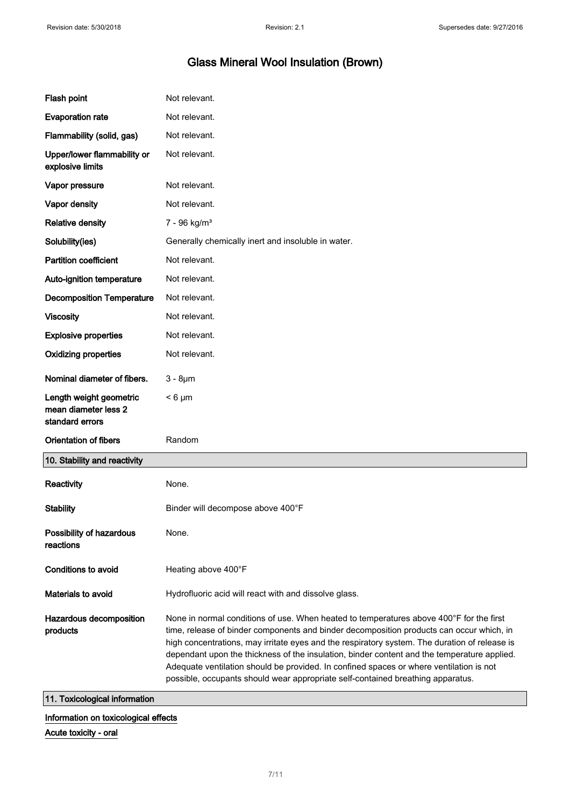| Flash point                                                        | Not relevant.                                                                                                                                                                                                                                                                                                                                                                                                                                                                                                                                                     |
|--------------------------------------------------------------------|-------------------------------------------------------------------------------------------------------------------------------------------------------------------------------------------------------------------------------------------------------------------------------------------------------------------------------------------------------------------------------------------------------------------------------------------------------------------------------------------------------------------------------------------------------------------|
| <b>Evaporation rate</b>                                            | Not relevant.                                                                                                                                                                                                                                                                                                                                                                                                                                                                                                                                                     |
| Flammability (solid, gas)                                          | Not relevant.                                                                                                                                                                                                                                                                                                                                                                                                                                                                                                                                                     |
| Upper/lower flammability or<br>explosive limits                    | Not relevant.                                                                                                                                                                                                                                                                                                                                                                                                                                                                                                                                                     |
| Vapor pressure                                                     | Not relevant.                                                                                                                                                                                                                                                                                                                                                                                                                                                                                                                                                     |
| Vapor density                                                      | Not relevant.                                                                                                                                                                                                                                                                                                                                                                                                                                                                                                                                                     |
| <b>Relative density</b>                                            | $7 - 96$ kg/m <sup>3</sup>                                                                                                                                                                                                                                                                                                                                                                                                                                                                                                                                        |
| Solubility(ies)                                                    | Generally chemically inert and insoluble in water.                                                                                                                                                                                                                                                                                                                                                                                                                                                                                                                |
| <b>Partition coefficient</b>                                       | Not relevant.                                                                                                                                                                                                                                                                                                                                                                                                                                                                                                                                                     |
| Auto-ignition temperature                                          | Not relevant.                                                                                                                                                                                                                                                                                                                                                                                                                                                                                                                                                     |
| <b>Decomposition Temperature</b>                                   | Not relevant.                                                                                                                                                                                                                                                                                                                                                                                                                                                                                                                                                     |
| <b>Viscosity</b>                                                   | Not relevant.                                                                                                                                                                                                                                                                                                                                                                                                                                                                                                                                                     |
| <b>Explosive properties</b>                                        | Not relevant.                                                                                                                                                                                                                                                                                                                                                                                                                                                                                                                                                     |
| <b>Oxidizing properties</b>                                        | Not relevant.                                                                                                                                                                                                                                                                                                                                                                                                                                                                                                                                                     |
| Nominal diameter of fibers.                                        | $3 - 8 \mu m$                                                                                                                                                                                                                                                                                                                                                                                                                                                                                                                                                     |
| Length weight geometric<br>mean diameter less 2<br>standard errors | $< 6 \mu m$                                                                                                                                                                                                                                                                                                                                                                                                                                                                                                                                                       |
| <b>Orientation of fibers</b>                                       | Random                                                                                                                                                                                                                                                                                                                                                                                                                                                                                                                                                            |
| 10. Stability and reactivity                                       |                                                                                                                                                                                                                                                                                                                                                                                                                                                                                                                                                                   |
| Reactivity                                                         | None.                                                                                                                                                                                                                                                                                                                                                                                                                                                                                                                                                             |
| <b>Stability</b>                                                   | Binder will decompose above 400°F                                                                                                                                                                                                                                                                                                                                                                                                                                                                                                                                 |
| Possibility of hazardous<br>reactions                              | None.                                                                                                                                                                                                                                                                                                                                                                                                                                                                                                                                                             |
| <b>Conditions to avoid</b>                                         | Heating above 400°F                                                                                                                                                                                                                                                                                                                                                                                                                                                                                                                                               |
| Materials to avoid                                                 | Hydrofluoric acid will react with and dissolve glass.                                                                                                                                                                                                                                                                                                                                                                                                                                                                                                             |
| Hazardous decomposition<br>products                                | None in normal conditions of use. When heated to temperatures above 400°F for the first<br>time, release of binder components and binder decomposition products can occur which, in<br>high concentrations, may irritate eyes and the respiratory system. The duration of release is<br>dependant upon the thickness of the insulation, binder content and the temperature applied.<br>Adequate ventilation should be provided. In confined spaces or where ventilation is not<br>possible, occupants should wear appropriate self-contained breathing apparatus. |
| 11. Toxicological information                                      |                                                                                                                                                                                                                                                                                                                                                                                                                                                                                                                                                                   |

## Information on toxicological effects

Acute toxicity - oral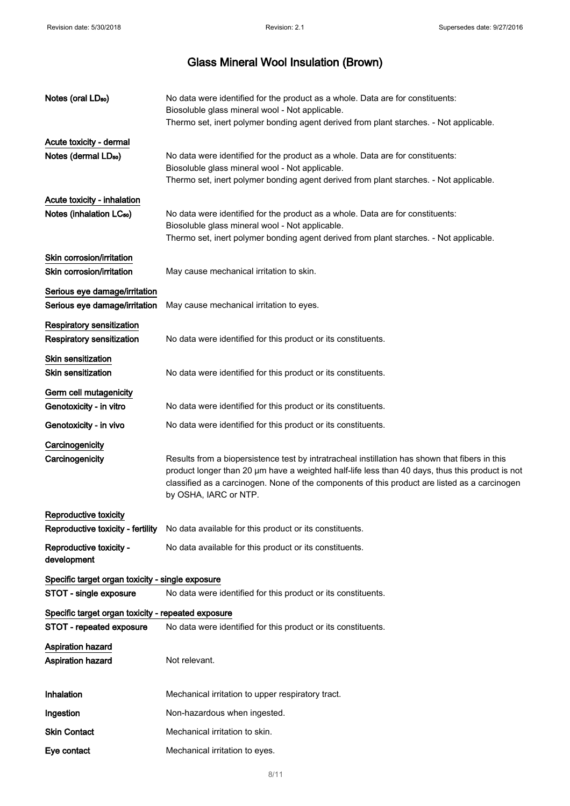| Notes (oral LD <sub>50</sub> )                         | No data were identified for the product as a whole. Data are for constituents:<br>Biosoluble glass mineral wool - Not applicable.<br>Thermo set, inert polymer bonding agent derived from plant starches. - Not applicable.                                                                                                 |
|--------------------------------------------------------|-----------------------------------------------------------------------------------------------------------------------------------------------------------------------------------------------------------------------------------------------------------------------------------------------------------------------------|
| Acute toxicity - dermal                                |                                                                                                                                                                                                                                                                                                                             |
| Notes (dermal LD <sub>50</sub> )                       | No data were identified for the product as a whole. Data are for constituents:<br>Biosoluble glass mineral wool - Not applicable.                                                                                                                                                                                           |
|                                                        | Thermo set, inert polymer bonding agent derived from plant starches. - Not applicable.                                                                                                                                                                                                                                      |
| Acute toxicity - inhalation                            |                                                                                                                                                                                                                                                                                                                             |
| Notes (inhalation LC <sub>50</sub> )                   | No data were identified for the product as a whole. Data are for constituents:<br>Biosoluble glass mineral wool - Not applicable.<br>Thermo set, inert polymer bonding agent derived from plant starches. - Not applicable.                                                                                                 |
|                                                        |                                                                                                                                                                                                                                                                                                                             |
| Skin corrosion/irritation<br>Skin corrosion/irritation | May cause mechanical irritation to skin.                                                                                                                                                                                                                                                                                    |
| Serious eye damage/irritation                          |                                                                                                                                                                                                                                                                                                                             |
| Serious eye damage/irritation                          | May cause mechanical irritation to eyes.                                                                                                                                                                                                                                                                                    |
| <b>Respiratory sensitization</b>                       |                                                                                                                                                                                                                                                                                                                             |
| Respiratory sensitization                              | No data were identified for this product or its constituents.                                                                                                                                                                                                                                                               |
| Skin sensitization                                     |                                                                                                                                                                                                                                                                                                                             |
| Skin sensitization                                     | No data were identified for this product or its constituents.                                                                                                                                                                                                                                                               |
| Germ cell mutagenicity                                 |                                                                                                                                                                                                                                                                                                                             |
| Genotoxicity - in vitro                                | No data were identified for this product or its constituents.                                                                                                                                                                                                                                                               |
| Genotoxicity - in vivo                                 | No data were identified for this product or its constituents.                                                                                                                                                                                                                                                               |
| Carcinogenicity                                        |                                                                                                                                                                                                                                                                                                                             |
| Carcinogenicity                                        | Results from a biopersistence test by intratracheal instillation has shown that fibers in this<br>product longer than 20 µm have a weighted half-life less than 40 days, thus this product is not<br>classified as a carcinogen. None of the components of this product are listed as a carcinogen<br>by OSHA, IARC or NTP. |
| Reproductive toxicity                                  |                                                                                                                                                                                                                                                                                                                             |
|                                                        | Reproductive toxicity - fertility No data available for this product or its constituents.                                                                                                                                                                                                                                   |
| Reproductive toxicity -<br>development                 | No data available for this product or its constituents.                                                                                                                                                                                                                                                                     |
| Specific target organ toxicity - single exposure       |                                                                                                                                                                                                                                                                                                                             |
| STOT - single exposure                                 | No data were identified for this product or its constituents.                                                                                                                                                                                                                                                               |
| Specific target organ toxicity - repeated exposure     |                                                                                                                                                                                                                                                                                                                             |
| STOT - repeated exposure                               | No data were identified for this product or its constituents.                                                                                                                                                                                                                                                               |
| <b>Aspiration hazard</b>                               |                                                                                                                                                                                                                                                                                                                             |
| <b>Aspiration hazard</b>                               | Not relevant.                                                                                                                                                                                                                                                                                                               |
| Inhalation                                             | Mechanical irritation to upper respiratory tract.                                                                                                                                                                                                                                                                           |
| Ingestion                                              | Non-hazardous when ingested.                                                                                                                                                                                                                                                                                                |
| <b>Skin Contact</b>                                    | Mechanical irritation to skin.                                                                                                                                                                                                                                                                                              |
| Eye contact                                            | Mechanical irritation to eyes.                                                                                                                                                                                                                                                                                              |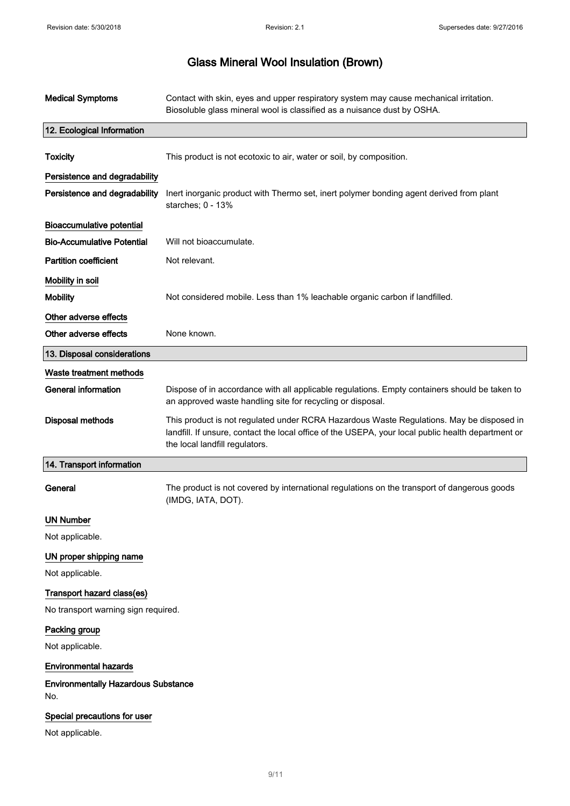| <b>Medical Symptoms</b>                                           | Contact with skin, eyes and upper respiratory system may cause mechanical irritation.<br>Biosoluble glass mineral wool is classified as a nuisance dust by OSHA.                                                                 |
|-------------------------------------------------------------------|----------------------------------------------------------------------------------------------------------------------------------------------------------------------------------------------------------------------------------|
| 12. Ecological Information                                        |                                                                                                                                                                                                                                  |
| <b>Toxicity</b>                                                   | This product is not ecotoxic to air, water or soil, by composition.                                                                                                                                                              |
| Persistence and degradability<br>Persistence and degradability    | Inert inorganic product with Thermo set, inert polymer bonding agent derived from plant<br>starches; 0 - 13%                                                                                                                     |
| <b>Bioaccumulative potential</b>                                  |                                                                                                                                                                                                                                  |
| <b>Bio-Accumulative Potential</b>                                 | Will not bioaccumulate.                                                                                                                                                                                                          |
| <b>Partition coefficient</b>                                      | Not relevant.                                                                                                                                                                                                                    |
| Mobility in soil                                                  |                                                                                                                                                                                                                                  |
| <b>Mobility</b>                                                   | Not considered mobile. Less than 1% leachable organic carbon if landfilled.                                                                                                                                                      |
| Other adverse effects                                             |                                                                                                                                                                                                                                  |
| Other adverse effects                                             | None known.                                                                                                                                                                                                                      |
| 13. Disposal considerations                                       |                                                                                                                                                                                                                                  |
| Waste treatment methods                                           |                                                                                                                                                                                                                                  |
| <b>General information</b>                                        | Dispose of in accordance with all applicable regulations. Empty containers should be taken to<br>an approved waste handling site for recycling or disposal.                                                                      |
| <b>Disposal methods</b>                                           | This product is not regulated under RCRA Hazardous Waste Regulations. May be disposed in<br>landfill. If unsure, contact the local office of the USEPA, your local public health department or<br>the local landfill regulators. |
| 14. Transport information                                         |                                                                                                                                                                                                                                  |
| General                                                           | The product is not covered by international regulations on the transport of dangerous goods<br>(IMDG, IATA, DOT).                                                                                                                |
| <b>UN Number</b>                                                  |                                                                                                                                                                                                                                  |
| Not applicable.                                                   |                                                                                                                                                                                                                                  |
| UN proper shipping name<br>Not applicable.                        |                                                                                                                                                                                                                                  |
| Transport hazard class(es)<br>No transport warning sign required. |                                                                                                                                                                                                                                  |
| Packing group                                                     |                                                                                                                                                                                                                                  |
| Not applicable.                                                   |                                                                                                                                                                                                                                  |
| <b>Environmental hazards</b>                                      |                                                                                                                                                                                                                                  |
| <b>Environmentally Hazardous Substance</b><br>No.                 |                                                                                                                                                                                                                                  |
| Special precautions for user                                      |                                                                                                                                                                                                                                  |
| Not applicable.                                                   |                                                                                                                                                                                                                                  |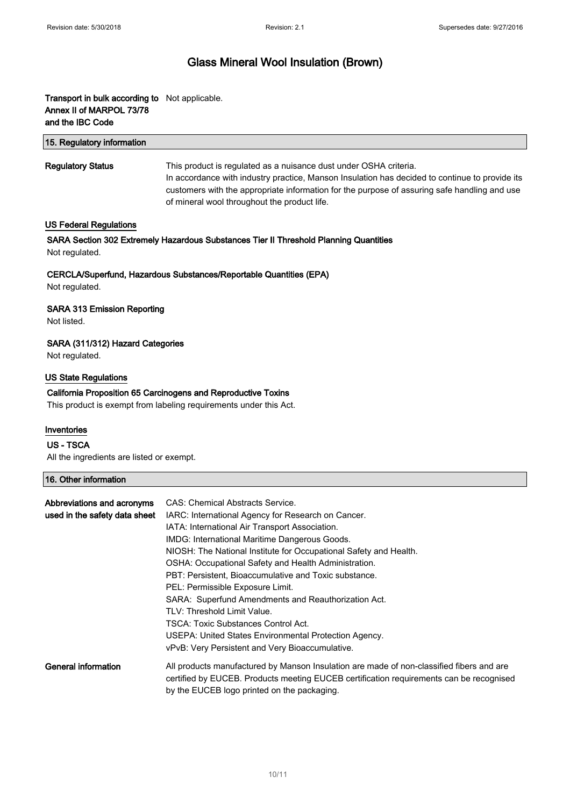### Transport in bulk according to Not applicable. Annex II of MARPOL 73/78 and the IBC Code

| 15. Regulatory information |                                                                                                                                                                                                                                                                                                                     |
|----------------------------|---------------------------------------------------------------------------------------------------------------------------------------------------------------------------------------------------------------------------------------------------------------------------------------------------------------------|
| <b>Regulatory Status</b>   | This product is regulated as a nuisance dust under OSHA criteria.<br>In accordance with industry practice, Manson Insulation has decided to continue to provide its<br>customers with the appropriate information for the purpose of assuring safe handling and use<br>of mineral wool throughout the product life. |

#### US Federal Regulations

SARA Section 302 Extremely Hazardous Substances Tier II Threshold Planning Quantities Not regulated.

CERCLA/Superfund, Hazardous Substances/Reportable Quantities (EPA) Not regulated.

#### SARA 313 Emission Reporting

Not listed.

#### SARA (311/312) Hazard Categories

Not regulated.

#### US State Regulations

# California Proposition 65 Carcinogens and Reproductive Toxins

This product is exempt from labeling requirements under this Act.

#### Inventories

#### US - TSCA

All the ingredients are listed or exempt.

### 16. Other information

| Abbreviations and acronyms<br>used in the safety data sheet | CAS: Chemical Abstracts Service.                                                         |
|-------------------------------------------------------------|------------------------------------------------------------------------------------------|
|                                                             | IARC: International Agency for Research on Cancer.                                       |
|                                                             | IATA: International Air Transport Association.                                           |
|                                                             | <b>IMDG: International Maritime Dangerous Goods.</b>                                     |
|                                                             | NIOSH: The National Institute for Occupational Safety and Health.                        |
|                                                             | OSHA: Occupational Safety and Health Administration.                                     |
|                                                             | PBT: Persistent. Bioaccumulative and Toxic substance.                                    |
|                                                             | PEL: Permissible Exposure Limit.                                                         |
|                                                             | SARA: Superfund Amendments and Reauthorization Act.                                      |
|                                                             | TLV: Threshold Limit Value.                                                              |
|                                                             | TSCA: Toxic Substances Control Act.                                                      |
|                                                             | USEPA: United States Environmental Protection Agency.                                    |
|                                                             | vPvB: Very Persistent and Very Bioaccumulative.                                          |
| General information                                         | All products manufactured by Manson Insulation are made of non-classified fibers and are |
|                                                             | certified by EUCEB. Products meeting EUCEB certification requirements can be recognised  |
|                                                             | by the EUCEB logo printed on the packaging.                                              |